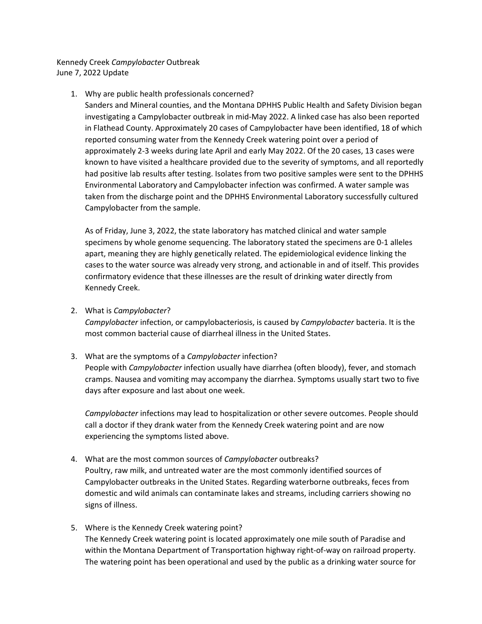Kennedy Creek *Campylobacter* Outbreak June 7, 2022 Update

## 1. Why are public health professionals concerned?

Sanders and Mineral counties, and the Montana DPHHS Public Health and Safety Division began investigating a Campylobacter outbreak in mid-May 2022. A linked case has also been reported in Flathead County. Approximately 20 cases of Campylobacter have been identified, 18 of which reported consuming water from the Kennedy Creek watering point over a period of approximately 2-3 weeks during late April and early May 2022. Of the 20 cases, 13 cases were known to have visited a healthcare provided due to the severity of symptoms, and all reportedly had positive lab results after testing. Isolates from two positive samples were sent to the DPHHS Environmental Laboratory and Campylobacter infection was confirmed. A water sample was taken from the discharge point and the DPHHS Environmental Laboratory successfully cultured Campylobacter from the sample.

As of Friday, June 3, 2022, the state laboratory has matched clinical and water sample specimens by whole genome sequencing. The laboratory stated the specimens are 0-1 alleles apart, meaning they are highly genetically related. The epidemiological evidence linking the cases to the water source was already very strong, and actionable in and of itself. This provides confirmatory evidence that these illnesses are the result of drinking water directly from Kennedy Creek.

2. What is *Campylobacter*?

*Campylobacter* infection, or campylobacteriosis, is caused by *Campylobacter* bacteria. It is the most common bacterial cause of diarrheal illness in the United States.

## 3. What are the symptoms of a *Campylobacter* infection?

People with *Campylobacter* infection usually have diarrhea (often bloody), fever, and stomach cramps. Nausea and vomiting may accompany the diarrhea. Symptoms usually start two to five days after exposure and last about one week.

*Campylobacter* infections may lead to hospitalization or other severe outcomes. People should call a doctor if they drank water from the Kennedy Creek watering point and are now experiencing the symptoms listed above.

- 4. What are the most common sources of *Campylobacter* outbreaks? Poultry, raw milk, and untreated water are the most commonly identified sources of Campylobacter outbreaks in the United States. Regarding waterborne outbreaks, feces from domestic and wild animals can contaminate lakes and streams, including carriers showing no signs of illness.
- 5. Where is the Kennedy Creek watering point? The Kennedy Creek watering point is located approximately one mile south of Paradise and within the Montana Department of Transportation highway right-of-way on railroad property. The watering point has been operational and used by the public as a drinking water source for